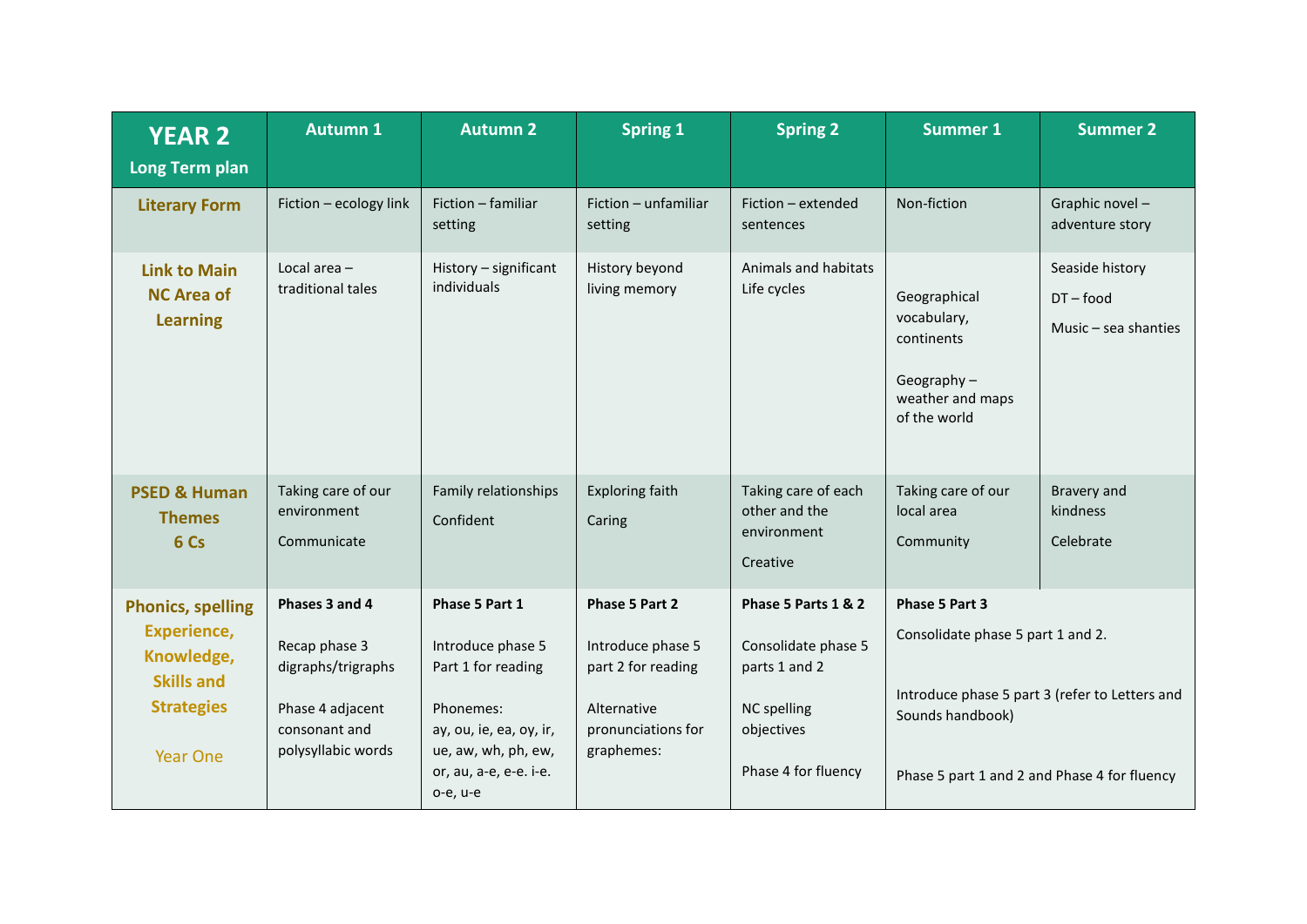| <b>YEAR 2</b><br><b>Long Term plan</b>                                                                                    | <b>Autumn 1</b>                                                                                                  | <b>Autumn 2</b>                                                                                                                                                | <b>Spring 1</b>                                                                                              | <b>Spring 2</b>                                                                                                        | <b>Summer 1</b>                                                                                                         | <b>Summer 2</b>                                          |
|---------------------------------------------------------------------------------------------------------------------------|------------------------------------------------------------------------------------------------------------------|----------------------------------------------------------------------------------------------------------------------------------------------------------------|--------------------------------------------------------------------------------------------------------------|------------------------------------------------------------------------------------------------------------------------|-------------------------------------------------------------------------------------------------------------------------|----------------------------------------------------------|
| <b>Literary Form</b>                                                                                                      | Fiction - ecology link                                                                                           | Fiction - familiar<br>setting                                                                                                                                  | Fiction - unfamiliar<br>setting                                                                              | Fiction - extended<br>sentences                                                                                        | Non-fiction                                                                                                             | Graphic novel-<br>adventure story                        |
| <b>Link to Main</b><br><b>NC Area of</b><br><b>Learning</b>                                                               | Local area $-$<br>traditional tales                                                                              | History - significant<br>individuals                                                                                                                           | History beyond<br>living memory                                                                              | Animals and habitats<br>Life cycles                                                                                    | Geographical<br>vocabulary,<br>continents<br>Geography $-$<br>weather and maps<br>of the world                          | Seaside history<br>$DT$ – food<br>Music $-$ sea shanties |
| <b>PSED &amp; Human</b><br><b>Themes</b><br>6 Cs                                                                          | Taking care of our<br>environment<br>Communicate                                                                 | Family relationships<br>Confident                                                                                                                              | <b>Exploring faith</b><br>Caring                                                                             | Taking care of each<br>other and the<br>environment<br>Creative                                                        | Taking care of our<br>local area<br>Community                                                                           | Bravery and<br>kindness<br>Celebrate                     |
| <b>Phonics, spelling</b><br><b>Experience,</b><br>Knowledge,<br><b>Skills and</b><br><b>Strategies</b><br><b>Year One</b> | Phases 3 and 4<br>Recap phase 3<br>digraphs/trigraphs<br>Phase 4 adjacent<br>consonant and<br>polysyllabic words | Phase 5 Part 1<br>Introduce phase 5<br>Part 1 for reading<br>Phonemes:<br>ay, ou, ie, ea, oy, ir,<br>ue, aw, wh, ph, ew,<br>or, au, a-e, e-e. i-e.<br>o-e, u-e | Phase 5 Part 2<br>Introduce phase 5<br>part 2 for reading<br>Alternative<br>pronunciations for<br>graphemes: | Phase 5 Parts 1 & 2<br>Consolidate phase 5<br>parts 1 and 2<br><b>NC</b> spelling<br>objectives<br>Phase 4 for fluency | Phase 5 Part 3<br>Consolidate phase 5 part 1 and 2.<br>Sounds handbook)<br>Phase 5 part 1 and 2 and Phase 4 for fluency | Introduce phase 5 part 3 (refer to Letters and           |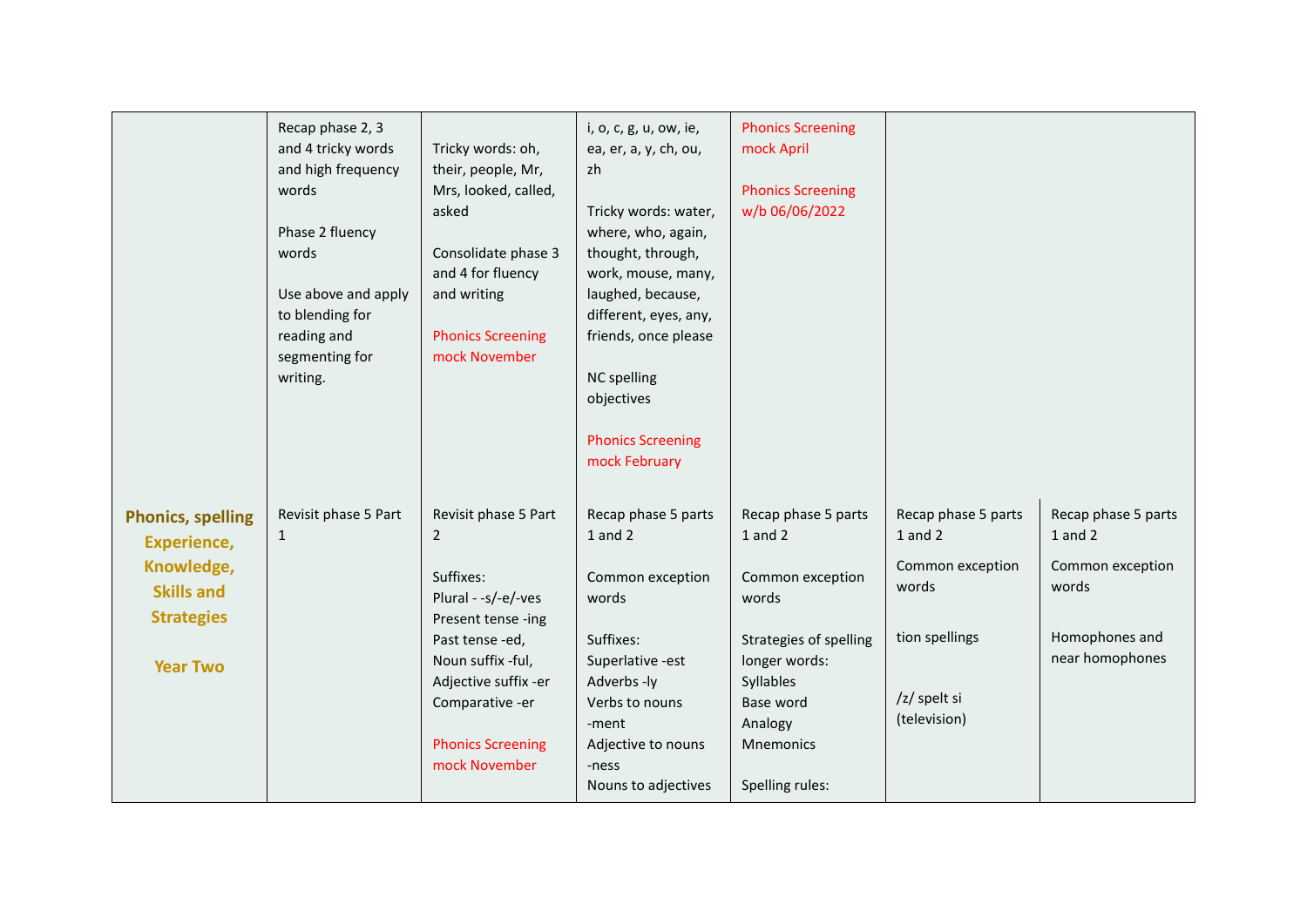|                                                                                                                           | Recap phase 2, 3<br>and 4 tricky words<br>and high frequency<br>words<br>Phase 2 fluency<br>words<br>Use above and apply<br>to blending for<br>reading and<br>segmenting for<br>writing. | Tricky words: oh,<br>their, people, Mr,<br>Mrs, looked, called,<br>asked<br>Consolidate phase 3<br>and 4 for fluency<br>and writing<br><b>Phonics Screening</b><br>mock November                                                | i, o, c, g, u, ow, ie,<br>ea, er, a, y, ch, ou,<br>zh<br>Tricky words: water,<br>where, who, again,<br>thought, through,<br>work, mouse, many,<br>laughed, because,<br>different, eyes, any,<br>friends, once please<br><b>NC</b> spelling<br>objectives<br><b>Phonics Screening</b><br>mock February | <b>Phonics Screening</b><br>mock April<br><b>Phonics Screening</b><br>w/b 06/06/2022                                                                                        |                                                                                                                   |                                                                                                      |
|---------------------------------------------------------------------------------------------------------------------------|------------------------------------------------------------------------------------------------------------------------------------------------------------------------------------------|---------------------------------------------------------------------------------------------------------------------------------------------------------------------------------------------------------------------------------|-------------------------------------------------------------------------------------------------------------------------------------------------------------------------------------------------------------------------------------------------------------------------------------------------------|-----------------------------------------------------------------------------------------------------------------------------------------------------------------------------|-------------------------------------------------------------------------------------------------------------------|------------------------------------------------------------------------------------------------------|
| <b>Phonics, spelling</b><br><b>Experience,</b><br>Knowledge,<br><b>Skills and</b><br><b>Strategies</b><br><b>Year Two</b> | Revisit phase 5 Part<br>$\mathbf{1}$                                                                                                                                                     | Revisit phase 5 Part<br>$\overline{2}$<br>Suffixes:<br>Plural - -s/-e/-ves<br>Present tense -ing<br>Past tense-ed,<br>Noun suffix -ful,<br>Adjective suffix -er<br>Comparative -er<br><b>Phonics Screening</b><br>mock November | Recap phase 5 parts<br>$1$ and $2$<br>Common exception<br>words<br>Suffixes:<br>Superlative -est<br>Adverbs -ly<br>Verbs to nouns<br>-ment<br>Adjective to nouns<br>-ness<br>Nouns to adjectives                                                                                                      | Recap phase 5 parts<br>1 and 2<br>Common exception<br>words<br>Strategies of spelling<br>longer words:<br>Syllables<br>Base word<br>Analogy<br>Mnemonics<br>Spelling rules: | Recap phase 5 parts<br>$1$ and $2$<br>Common exception<br>words<br>tion spellings<br>/z/ spelt si<br>(television) | Recap phase 5 parts<br>$1$ and $2$<br>Common exception<br>words<br>Homophones and<br>near homophones |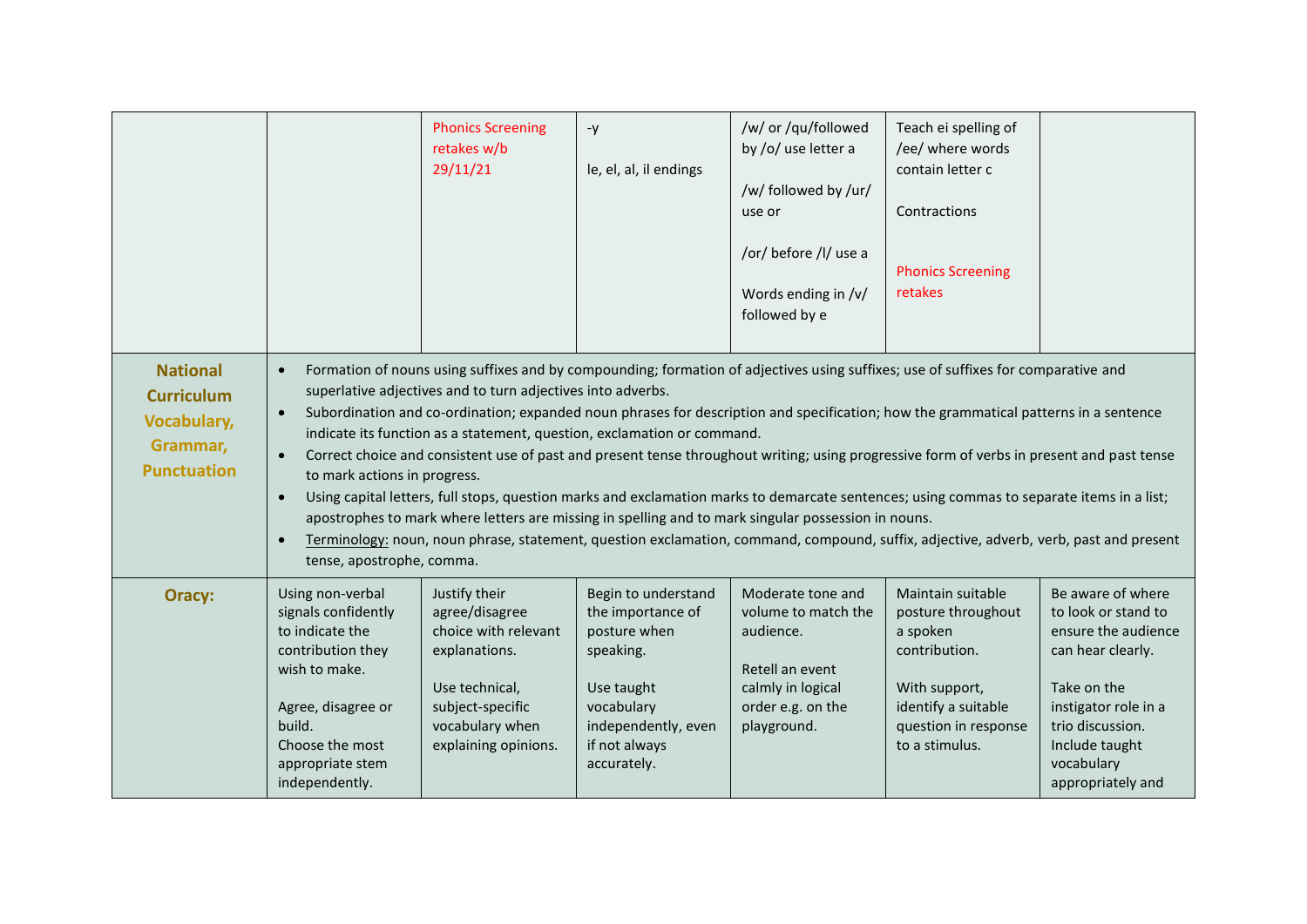|                                                                                              |                                                                                                                                                                                           | <b>Phonics Screening</b><br>retakes w/b<br>29/11/21                                                                                                                                                                                                                                                                                                                                                                                                                                                                                                                                                                                                                                                                                                                                                                                                                                                                                                           | $-y$<br>le, el, al, il endings                                                                                                                           | /w/ or /qu/followed<br>by /o/ use letter a<br>/w/ followed by /ur/<br>use or<br>/or/ before /l/ use a<br>Words ending in /v/<br>followed by e | Teach ei spelling of<br>/ee/ where words<br>contain letter c<br>Contractions<br><b>Phonics Screening</b><br>retakes                                    |                                                                                                                                                                                                      |
|----------------------------------------------------------------------------------------------|-------------------------------------------------------------------------------------------------------------------------------------------------------------------------------------------|---------------------------------------------------------------------------------------------------------------------------------------------------------------------------------------------------------------------------------------------------------------------------------------------------------------------------------------------------------------------------------------------------------------------------------------------------------------------------------------------------------------------------------------------------------------------------------------------------------------------------------------------------------------------------------------------------------------------------------------------------------------------------------------------------------------------------------------------------------------------------------------------------------------------------------------------------------------|----------------------------------------------------------------------------------------------------------------------------------------------------------|-----------------------------------------------------------------------------------------------------------------------------------------------|--------------------------------------------------------------------------------------------------------------------------------------------------------|------------------------------------------------------------------------------------------------------------------------------------------------------------------------------------------------------|
| <b>National</b><br><b>Curriculum</b><br><b>Vocabulary,</b><br>Grammar,<br><b>Punctuation</b> | $\bullet$<br>$\bullet$<br>to mark actions in progress.<br>$\bullet$<br>$\bullet$<br>tense, apostrophe, comma.                                                                             | Formation of nouns using suffixes and by compounding; formation of adjectives using suffixes; use of suffixes for comparative and<br>superlative adjectives and to turn adjectives into adverbs.<br>Subordination and co-ordination; expanded noun phrases for description and specification; how the grammatical patterns in a sentence<br>indicate its function as a statement, question, exclamation or command.<br>Correct choice and consistent use of past and present tense throughout writing; using progressive form of verbs in present and past tense<br>Using capital letters, full stops, question marks and exclamation marks to demarcate sentences; using commas to separate items in a list;<br>apostrophes to mark where letters are missing in spelling and to mark singular possession in nouns.<br>Terminology: noun, noun phrase, statement, question exclamation, command, compound, suffix, adjective, adverb, verb, past and present |                                                                                                                                                          |                                                                                                                                               |                                                                                                                                                        |                                                                                                                                                                                                      |
| Oracy:                                                                                       | Using non-verbal<br>signals confidently<br>to indicate the<br>contribution they<br>wish to make.<br>Agree, disagree or<br>build.<br>Choose the most<br>appropriate stem<br>independently. | Justify their<br>agree/disagree<br>choice with relevant<br>explanations.<br>Use technical,<br>subject-specific<br>vocabulary when<br>explaining opinions.                                                                                                                                                                                                                                                                                                                                                                                                                                                                                                                                                                                                                                                                                                                                                                                                     | Begin to understand<br>the importance of<br>posture when<br>speaking.<br>Use taught<br>vocabulary<br>independently, even<br>if not always<br>accurately. | Moderate tone and<br>volume to match the<br>audience.<br>Retell an event<br>calmly in logical<br>order e.g. on the<br>playground.             | Maintain suitable<br>posture throughout<br>a spoken<br>contribution.<br>With support,<br>identify a suitable<br>question in response<br>to a stimulus. | Be aware of where<br>to look or stand to<br>ensure the audience<br>can hear clearly.<br>Take on the<br>instigator role in a<br>trio discussion.<br>Include taught<br>vocabulary<br>appropriately and |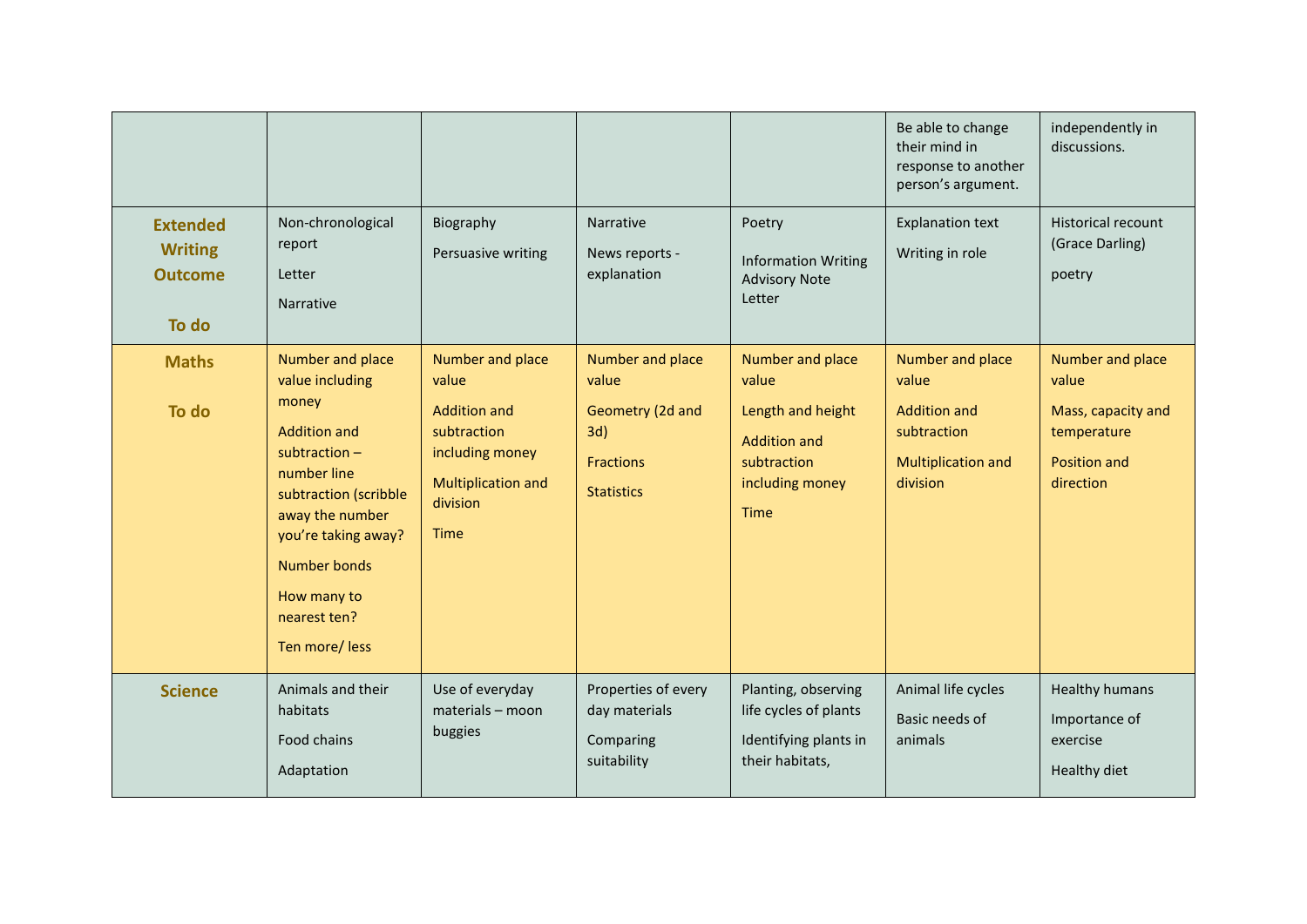|                                                              |                                                                                                                                                                                                                                                 |                                                                                                                                            |                                                                                               |                                                                                                                 | Be able to change<br>their mind in<br>response to another<br>person's argument.                          | independently in<br>discussions.                                                            |
|--------------------------------------------------------------|-------------------------------------------------------------------------------------------------------------------------------------------------------------------------------------------------------------------------------------------------|--------------------------------------------------------------------------------------------------------------------------------------------|-----------------------------------------------------------------------------------------------|-----------------------------------------------------------------------------------------------------------------|----------------------------------------------------------------------------------------------------------|---------------------------------------------------------------------------------------------|
| <b>Extended</b><br><b>Writing</b><br><b>Outcome</b><br>To do | Non-chronological<br>report<br>Letter<br>Narrative                                                                                                                                                                                              | Biography<br>Persuasive writing                                                                                                            | Narrative<br>News reports -<br>explanation                                                    | Poetry<br><b>Information Writing</b><br><b>Advisory Note</b><br>Letter                                          | <b>Explanation text</b><br>Writing in role                                                               | <b>Historical recount</b><br>(Grace Darling)<br>poetry                                      |
| <b>Maths</b><br>To do                                        | Number and place<br>value including<br>money<br><b>Addition and</b><br>subtraction $-$<br>number line<br>subtraction (scribble<br>away the number<br>you're taking away?<br><b>Number bonds</b><br>How many to<br>nearest ten?<br>Ten more/less | Number and place<br>value<br><b>Addition and</b><br>subtraction<br>including money<br><b>Multiplication and</b><br>division<br><b>Time</b> | Number and place<br>value<br>Geometry (2d and<br>3d)<br><b>Fractions</b><br><b>Statistics</b> | Number and place<br>value<br>Length and height<br><b>Addition and</b><br>subtraction<br>including money<br>Time | Number and place<br>value<br><b>Addition and</b><br>subtraction<br><b>Multiplication and</b><br>division | Number and place<br>value<br>Mass, capacity and<br>temperature<br>Position and<br>direction |
| <b>Science</b>                                               | Animals and their<br>habitats<br>Food chains<br>Adaptation                                                                                                                                                                                      | Use of everyday<br>materials - moon<br>buggies                                                                                             | Properties of every<br>day materials<br>Comparing<br>suitability                              | Planting, observing<br>life cycles of plants<br>Identifying plants in<br>their habitats,                        | Animal life cycles<br>Basic needs of<br>animals                                                          | <b>Healthy humans</b><br>Importance of<br>exercise<br>Healthy diet                          |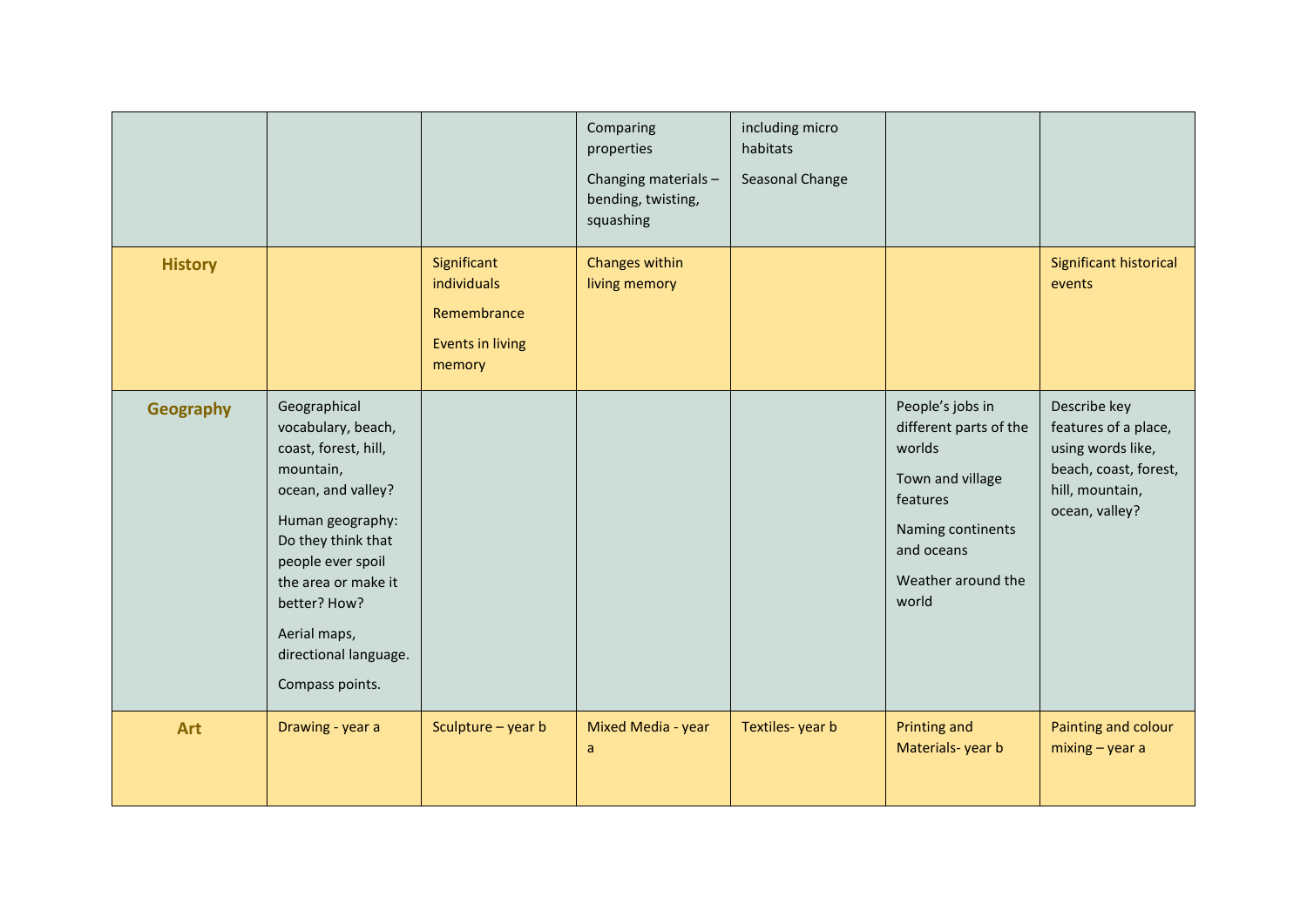|                  |                                                                                                                                                                                                                                                                 |                                                                                | Comparing<br>properties<br>Changing materials -<br>bending, twisting,<br>squashing | including micro<br>habitats<br>Seasonal Change |                                                                                                                                                        |                                                                                                                         |
|------------------|-----------------------------------------------------------------------------------------------------------------------------------------------------------------------------------------------------------------------------------------------------------------|--------------------------------------------------------------------------------|------------------------------------------------------------------------------------|------------------------------------------------|--------------------------------------------------------------------------------------------------------------------------------------------------------|-------------------------------------------------------------------------------------------------------------------------|
| <b>History</b>   |                                                                                                                                                                                                                                                                 | Significant<br>individuals<br>Remembrance<br><b>Events in living</b><br>memory | Changes within<br>living memory                                                    |                                                |                                                                                                                                                        | Significant historical<br>events                                                                                        |
| <b>Geography</b> | Geographical<br>vocabulary, beach,<br>coast, forest, hill,<br>mountain,<br>ocean, and valley?<br>Human geography:<br>Do they think that<br>people ever spoil<br>the area or make it<br>better? How?<br>Aerial maps,<br>directional language.<br>Compass points. |                                                                                |                                                                                    |                                                | People's jobs in<br>different parts of the<br>worlds<br>Town and village<br>features<br>Naming continents<br>and oceans<br>Weather around the<br>world | Describe key<br>features of a place,<br>using words like,<br>beach, coast, forest,<br>hill, mountain,<br>ocean, valley? |
| <b>Art</b>       | Drawing - year a                                                                                                                                                                                                                                                | Sculpture - year b                                                             | Mixed Media - year<br>a                                                            | Textiles-year b                                | Printing and<br>Materials-year b                                                                                                                       | Painting and colour<br>$mixing - year a$                                                                                |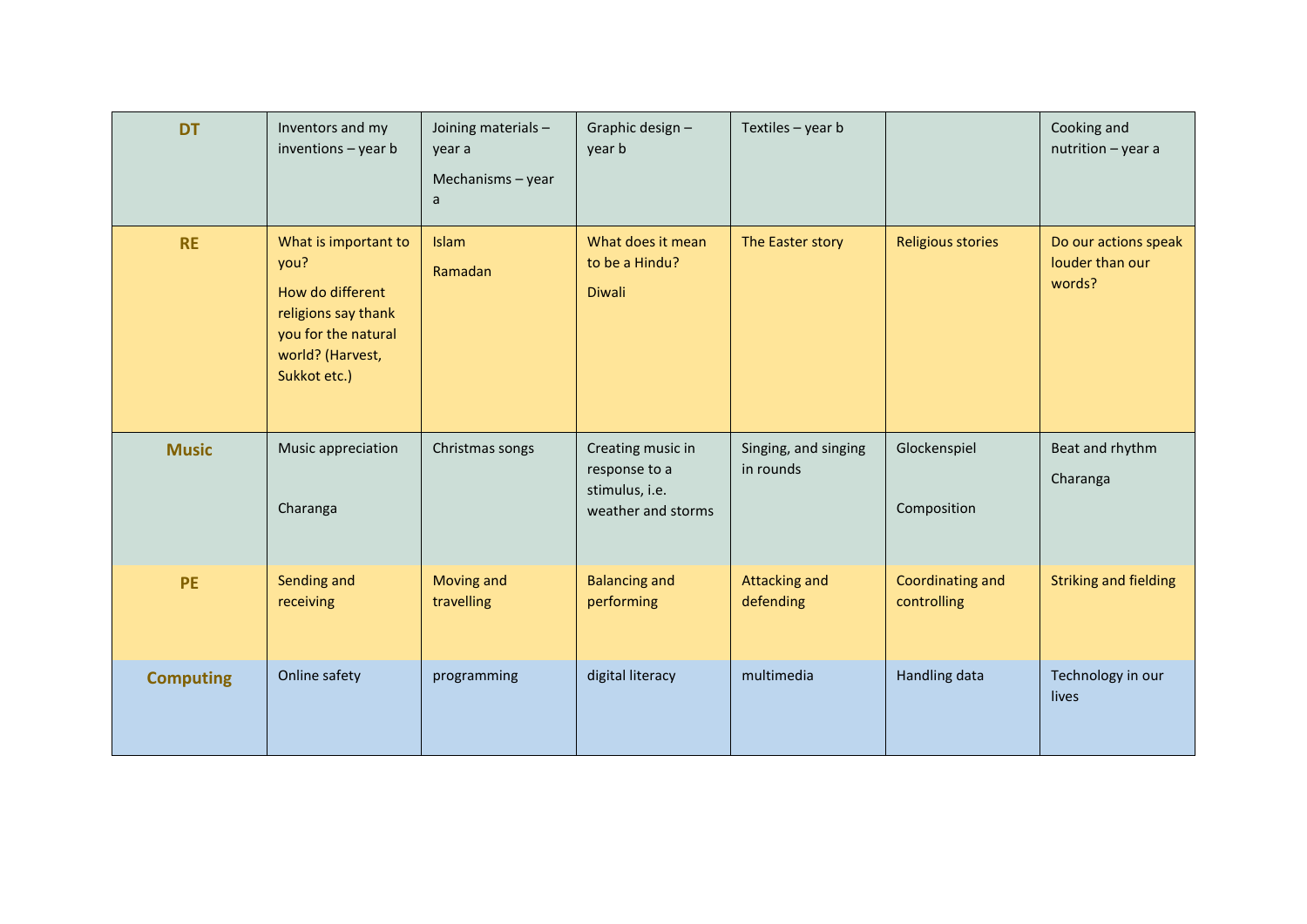| <b>DT</b>        | Inventors and my<br>inventions $-$ year $b$                                                                                        | Joining materials -<br>year a<br>Mechanisms - year<br>a | Graphic design-<br>year b                                                  | Textiles - year b                 |                                 | Cooking and<br>nutrition - year a                 |
|------------------|------------------------------------------------------------------------------------------------------------------------------------|---------------------------------------------------------|----------------------------------------------------------------------------|-----------------------------------|---------------------------------|---------------------------------------------------|
| <b>RE</b>        | What is important to<br>you?<br>How do different<br>religions say thank<br>you for the natural<br>world? (Harvest,<br>Sukkot etc.) | Islam<br>Ramadan                                        | What does it mean<br>to be a Hindu?<br>Diwali                              | The Easter story                  | <b>Religious stories</b>        | Do our actions speak<br>louder than our<br>words? |
| <b>Music</b>     | Music appreciation<br>Charanga                                                                                                     | Christmas songs                                         | Creating music in<br>response to a<br>stimulus, i.e.<br>weather and storms | Singing, and singing<br>in rounds | Glockenspiel<br>Composition     | Beat and rhythm<br>Charanga                       |
| <b>PE</b>        | Sending and<br>receiving                                                                                                           | Moving and<br>travelling                                | <b>Balancing and</b><br>performing                                         | <b>Attacking and</b><br>defending | Coordinating and<br>controlling | <b>Striking and fielding</b>                      |
| <b>Computing</b> | Online safety                                                                                                                      | programming                                             | digital literacy                                                           | multimedia                        | Handling data                   | Technology in our<br>lives                        |